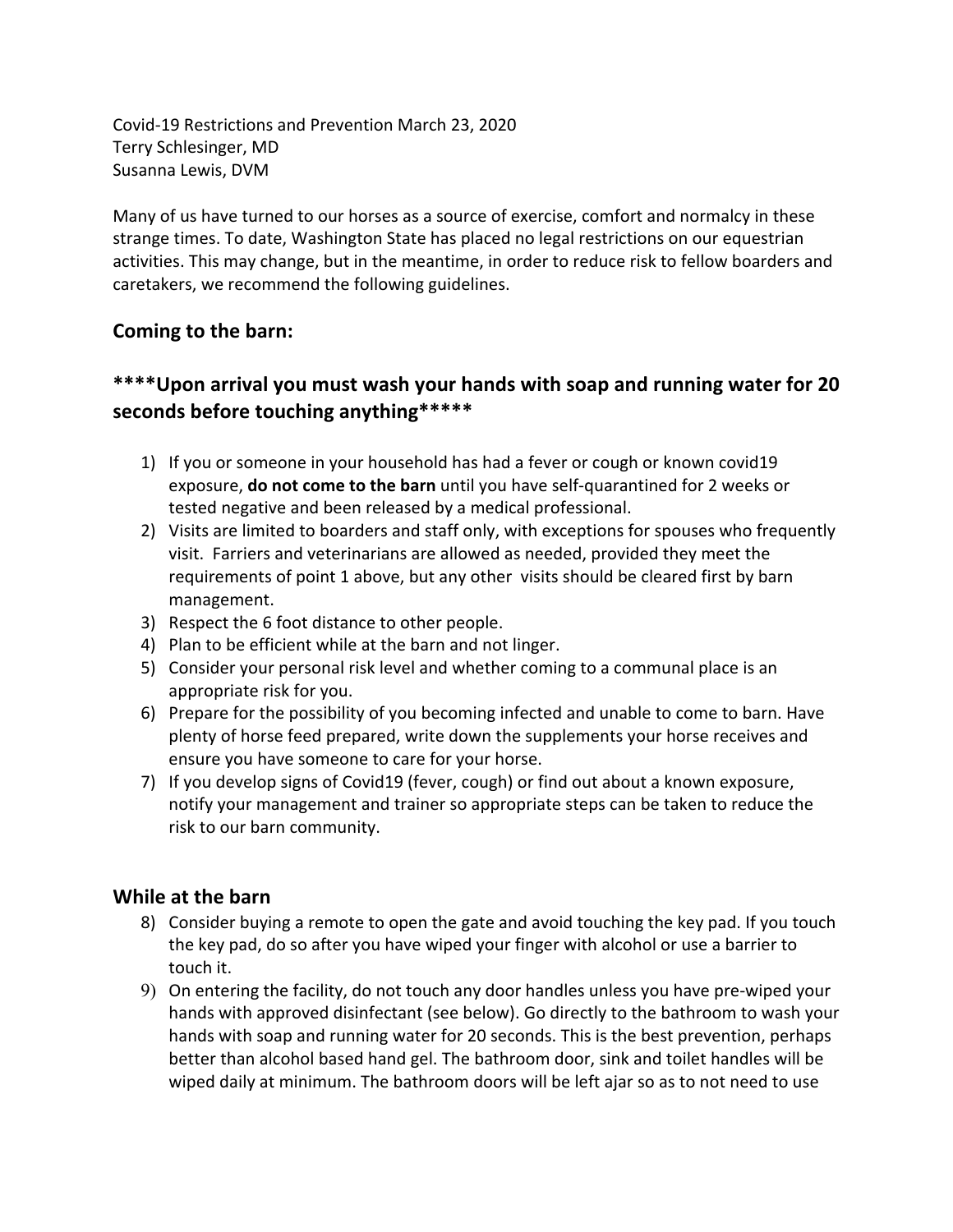Covid-19 Restrictions and Prevention March 23, 2020 Terry Schlesinger, MD Susanna Lewis, DVM

Many of us have turned to our horses as a source of exercise, comfort and normalcy in these strange times. To date, Washington State has placed no legal restrictions on our equestrian activities. This may change, but in the meantime, in order to reduce risk to fellow boarders and caretakers, we recommend the following guidelines.

## **Coming to the barn:**

# **\*\*\*\*Upon arrival you must wash your hands with soap and running water for 20 seconds before touching anything\*\*\*\*\***

- 1) If you or someone in your household has had a fever or cough or known covid19 exposure, **do not come to the barn** until you have self-quarantined for 2 weeks or tested negative and been released by a medical professional.
- 2) Visits are limited to boarders and staff only, with exceptions for spouses who frequently visit. Farriers and veterinarians are allowed as needed, provided they meet the requirements of point 1 above, but any other visits should be cleared first by barn management.
- 3) Respect the 6 foot distance to other people.
- 4) Plan to be efficient while at the barn and not linger.
- 5) Consider your personal risk level and whether coming to a communal place is an appropriate risk for you.
- 6) Prepare for the possibility of you becoming infected and unable to come to barn. Have plenty of horse feed prepared, write down the supplements your horse receives and ensure you have someone to care for your horse.
- 7) If you develop signs of Covid19 (fever, cough) or find out about a known exposure, notify your management and trainer so appropriate steps can be taken to reduce the risk to our barn community.

### **While at the barn**

- 8) Consider buying a remote to open the gate and avoid touching the key pad. If you touch the key pad, do so after you have wiped your finger with alcohol or use a barrier to touch it.
- 9) On entering the facility, do not touch any door handles unless you have pre-wiped your hands with approved disinfectant (see below). Go directly to the bathroom to wash your hands with soap and running water for 20 seconds. This is the best prevention, perhaps better than alcohol based hand gel. The bathroom door, sink and toilet handles will be wiped daily at minimum. The bathroom doors will be left ajar so as to not need to use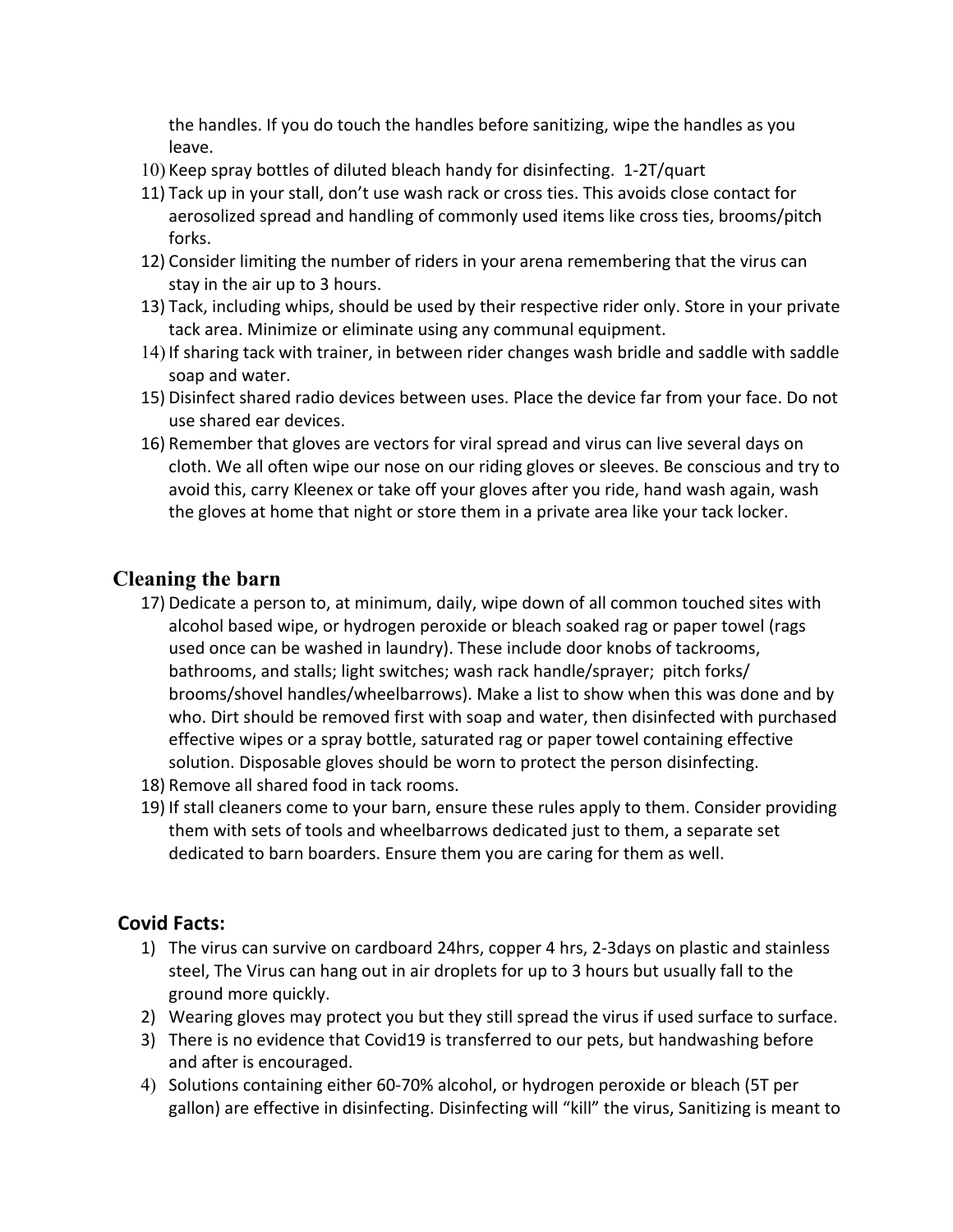the handles. If you do touch the handles before sanitizing, wipe the handles as you leave.

- 10) Keep spray bottles of diluted bleach handy for disinfecting. 1-2T/quart
- 11) Tack up in your stall, don't use wash rack or cross ties. This avoids close contact for aerosolized spread and handling of commonly used items like cross ties, brooms/pitch forks.
- 12) Consider limiting the number of riders in your arena remembering that the virus can stay in the air up to 3 hours.
- 13) Tack, including whips, should be used by their respective rider only. Store in your private tack area. Minimize or eliminate using any communal equipment.
- 14) If sharing tack with trainer, in between rider changes wash bridle and saddle with saddle soap and water.
- 15) Disinfect shared radio devices between uses. Place the device far from your face. Do not use shared ear devices.
- 16) Remember that gloves are vectors for viral spread and virus can live several days on cloth. We all often wipe our nose on our riding gloves or sleeves. Be conscious and try to avoid this, carry Kleenex or take off your gloves after you ride, hand wash again, wash the gloves at home that night or store them in a private area like your tack locker.

#### **Cleaning the barn**

- 17) Dedicate a person to, at minimum, daily, wipe down of all common touched sites with alcohol based wipe, or hydrogen peroxide or bleach soaked rag or paper towel (rags used once can be washed in laundry). These include door knobs of tackrooms, bathrooms, and stalls; light switches; wash rack handle/sprayer; pitch forks/ brooms/shovel handles/wheelbarrows). Make a list to show when this was done and by who. Dirt should be removed first with soap and water, then disinfected with purchased effective wipes or a spray bottle, saturated rag or paper towel containing effective solution. Disposable gloves should be worn to protect the person disinfecting.
- 18) Remove all shared food in tack rooms.
- 19) If stall cleaners come to your barn, ensure these rules apply to them. Consider providing them with sets of tools and wheelbarrows dedicated just to them, a separate set dedicated to barn boarders. Ensure them you are caring for them as well.

#### **Covid Facts:**

- 1) The virus can survive on cardboard 24hrs, copper 4 hrs, 2-3days on plastic and stainless steel, The Virus can hang out in air droplets for up to 3 hours but usually fall to the ground more quickly.
- 2) Wearing gloves may protect you but they still spread the virus if used surface to surface.
- 3) There is no evidence that Covid19 is transferred to our pets, but handwashing before and after is encouraged.
- 4) Solutions containing either 60-70% alcohol, or hydrogen peroxide or bleach (5T per gallon) are effective in disinfecting. Disinfecting will "kill" the virus, Sanitizing is meant to